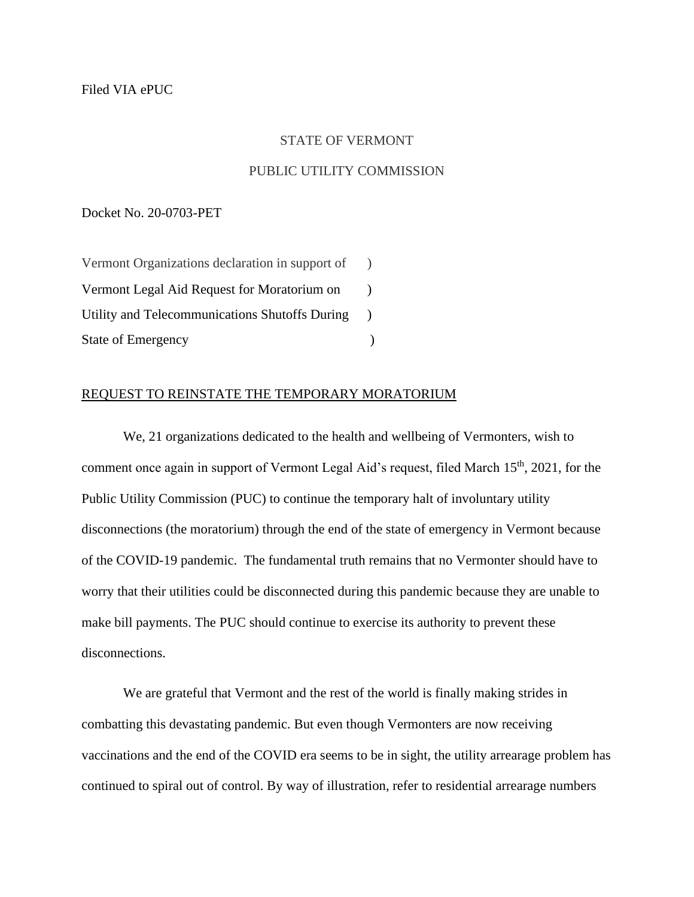## STATE OF VERMONT

## PUBLIC UTILITY COMMISSION

Docket No. 20-0703-PET

Vermont Organizations declaration in support of ) Vermont Legal Aid Request for Moratorium on ) Utility and Telecommunications Shutoffs During ) State of Emergency (a)

## REQUEST TO REINSTATE THE TEMPORARY MORATORIUM

We, 21 organizations dedicated to the health and wellbeing of Vermonters, wish to comment once again in support of Vermont Legal Aid's request, filed March  $15<sup>th</sup>$ , 2021, for the Public Utility Commission (PUC) to continue the temporary halt of involuntary utility disconnections (the moratorium) through the end of the state of emergency in Vermont because of the COVID-19 pandemic. The fundamental truth remains that no Vermonter should have to worry that their utilities could be disconnected during this pandemic because they are unable to make bill payments. The PUC should continue to exercise its authority to prevent these disconnections.

We are grateful that Vermont and the rest of the world is finally making strides in combatting this devastating pandemic. But even though Vermonters are now receiving vaccinations and the end of the COVID era seems to be in sight, the utility arrearage problem has continued to spiral out of control. By way of illustration, refer to residential arrearage numbers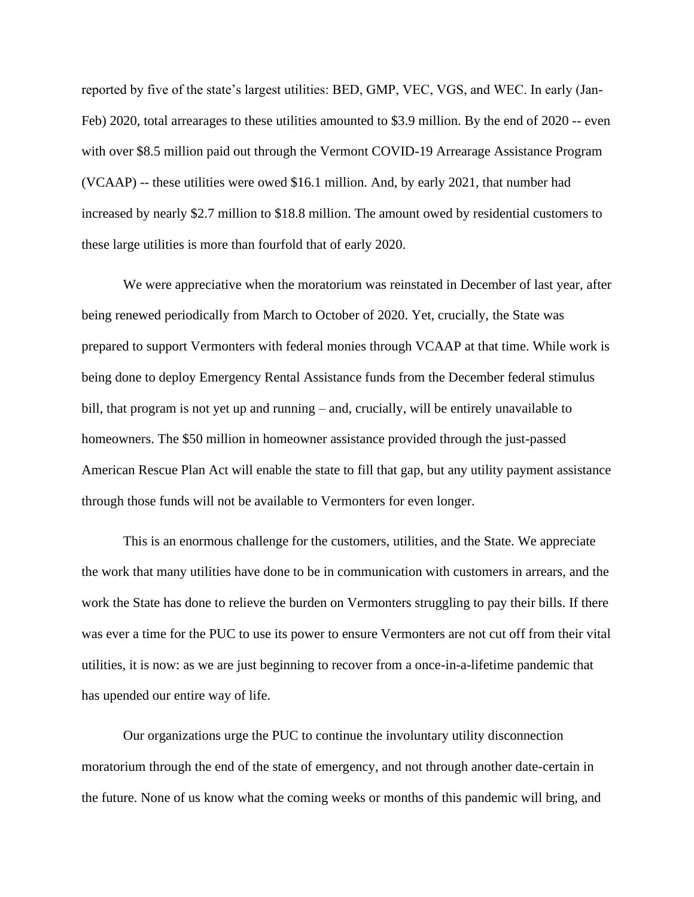reported by five of the state's largest utilities: BED, GMP, VEC, VGS, and WEC. In early (Jan-Feb) 2020, total arrearages to these utilities amounted to \$3.9 million. By the end of 2020 -- even with over \$8.5 million paid out through the Vermont COVID-19 Arrearage Assistance Program (VCAAP) -- these utilities were owed \$16.1 million. And, by early 2021, that number had increased by nearly \$2.7 million to \$18.8 million. The amount owed by residential customers to these large utilities is more than fourfold that of early 2020.

We were appreciative when the moratorium was reinstated in December of last year, after being renewed periodically from March to October of 2020. Yet, crucially, the State was prepared to support Vermonters with federal monies through VCAAP at that time. While work is being done to deploy Emergency Rental Assistance funds from the December federal stimulus bill, that program is not yet up and running – and, crucially, will be entirely unavailable to homeowners. The \$50 million in homeowner assistance provided through the just-passed American Rescue Plan Act will enable the state to fill that gap, but any utility payment assistance through those funds will not be available to Vermonters for even longer.

This is an enormous challenge for the customers, utilities, and the State. We appreciate the work that many utilities have done to be in communication with customers in arrears, and the work the State has done to relieve the burden on Vermonters struggling to pay their bills. If there was ever a time for the PUC to use its power to ensure Vermonters are not cut off from their vital utilities, it is now: as we are just beginning to recover from a once-in-a-lifetime pandemic that has upended our entire way of life.

Our organizations urge the PUC to continue the involuntary utility disconnection moratorium through the end of the state of emergency, and not through another date-certain in the future. None of us know what the coming weeks or months of this pandemic will bring, and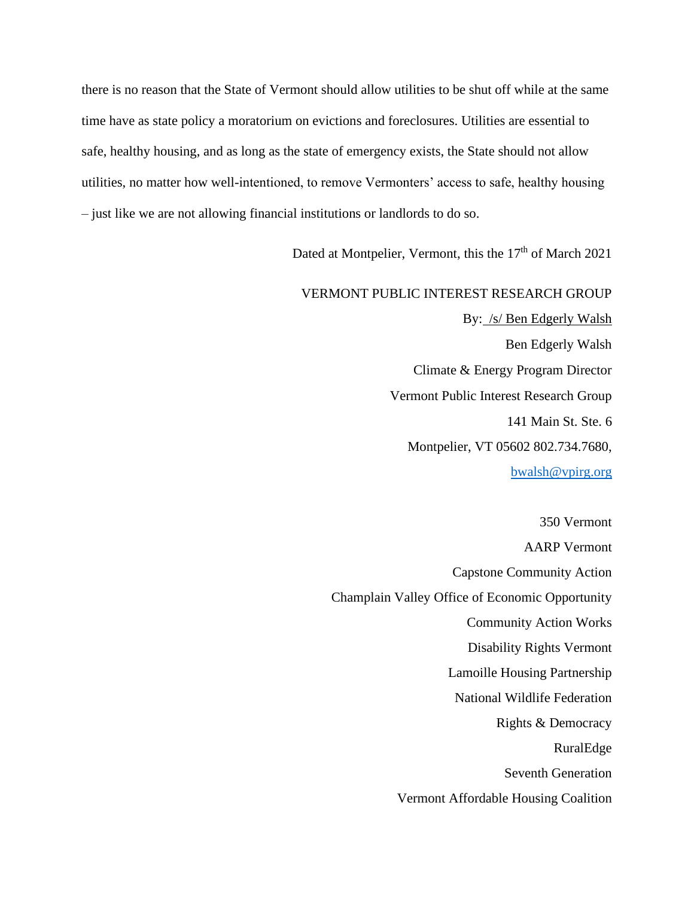there is no reason that the State of Vermont should allow utilities to be shut off while at the same time have as state policy a moratorium on evictions and foreclosures. Utilities are essential to safe, healthy housing, and as long as the state of emergency exists, the State should not allow utilities, no matter how well-intentioned, to remove Vermonters' access to safe, healthy housing – just like we are not allowing financial institutions or landlords to do so.

Dated at Montpelier, Vermont, this the 17<sup>th</sup> of March 2021

## VERMONT PUBLIC INTEREST RESEARCH GROUP By: /s/ Ben Edgerly Walsh Ben Edgerly Walsh Climate & Energy Program Director Vermont Public Interest Research Group 141 Main St. Ste. 6 Montpelier, VT 05602 802.734.7680,

bwalsh@vpirg.org

350 Vermont AARP Vermont Capstone Community Action Champlain Valley Office of Economic Opportunity Community Action Works Disability Rights Vermont Lamoille Housing Partnership National Wildlife Federation Rights & Democracy RuralEdge Seventh Generation Vermont Affordable Housing Coalition